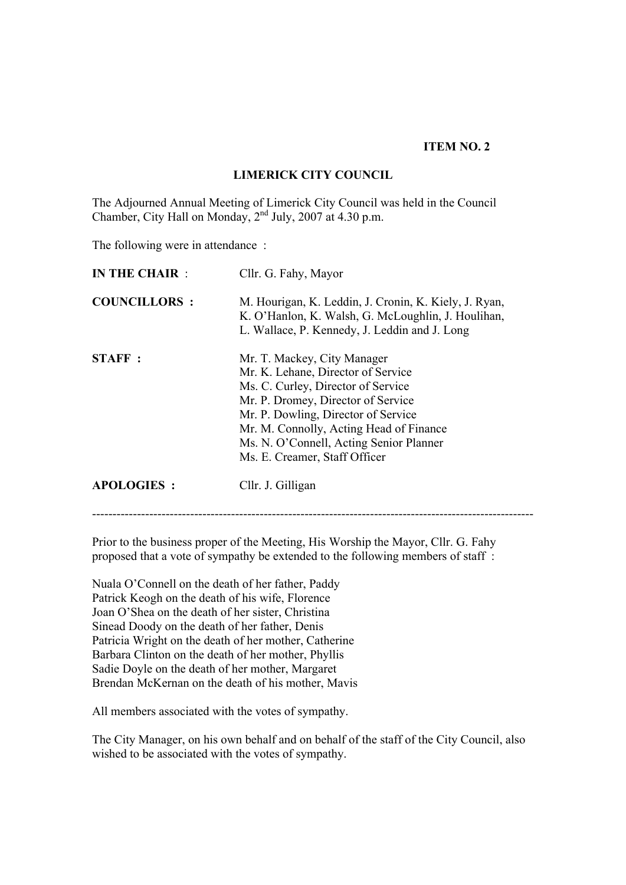#### **ITEM NO. 2**

#### **LIMERICK CITY COUNCIL**

The Adjourned Annual Meeting of Limerick City Council was held in the Council Chamber, City Hall on Monday,  $2<sup>nd</sup>$  July, 2007 at 4.30 p.m.

The following were in attendance :

| <b>IN THE CHAIR:</b> | Cllr. G. Fahy, Mayor                                                                                                                                                                                                                                                                                        |
|----------------------|-------------------------------------------------------------------------------------------------------------------------------------------------------------------------------------------------------------------------------------------------------------------------------------------------------------|
| <b>COUNCILLORS:</b>  | M. Hourigan, K. Leddin, J. Cronin, K. Kiely, J. Ryan,<br>K. O'Hanlon, K. Walsh, G. McLoughlin, J. Houlihan,<br>L. Wallace, P. Kennedy, J. Leddin and J. Long                                                                                                                                                |
| <b>STAFF</b> :       | Mr. T. Mackey, City Manager<br>Mr. K. Lehane, Director of Service<br>Ms. C. Curley, Director of Service<br>Mr. P. Dromey, Director of Service<br>Mr. P. Dowling, Director of Service<br>Mr. M. Connolly, Acting Head of Finance<br>Ms. N. O'Connell, Acting Senior Planner<br>Ms. E. Creamer, Staff Officer |
| <b>APOLOGIES:</b>    | Cllr. J. Gilligan                                                                                                                                                                                                                                                                                           |

Prior to the business proper of the Meeting, His Worship the Mayor, Cllr. G. Fahy proposed that a vote of sympathy be extended to the following members of staff :

------------------------------------------------------------------------------------------------------------

Nuala O'Connell on the death of her father, Paddy Patrick Keogh on the death of his wife, Florence Joan O'Shea on the death of her sister, Christina Sinead Doody on the death of her father, Denis Patricia Wright on the death of her mother, Catherine Barbara Clinton on the death of her mother, Phyllis Sadie Doyle on the death of her mother, Margaret Brendan McKernan on the death of his mother, Mavis

All members associated with the votes of sympathy.

The City Manager, on his own behalf and on behalf of the staff of the City Council, also wished to be associated with the votes of sympathy.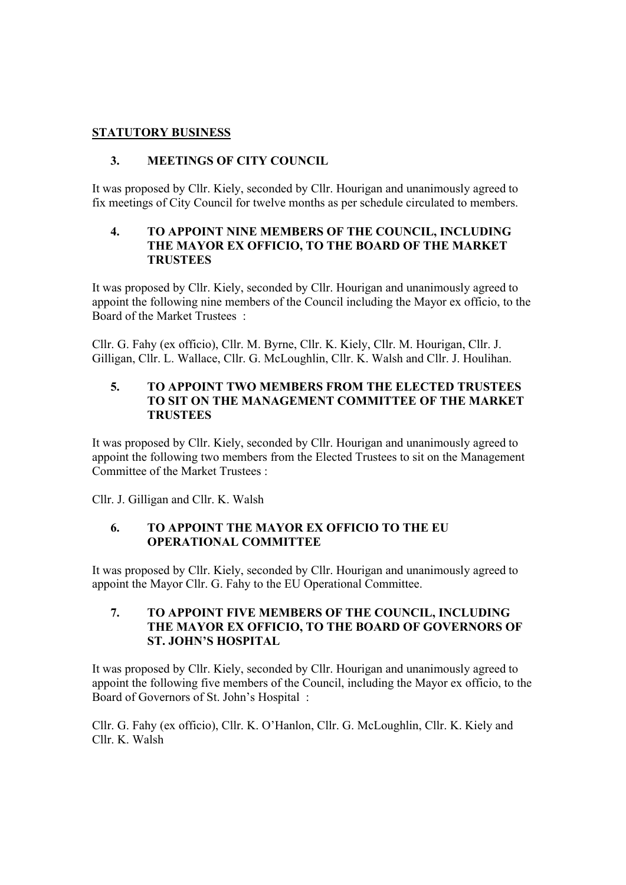# **STATUTORY BUSINESS**

# **3. MEETINGS OF CITY COUNCIL**

It was proposed by Cllr. Kiely, seconded by Cllr. Hourigan and unanimously agreed to fix meetings of City Council for twelve months as per schedule circulated to members.

#### **4. TO APPOINT NINE MEMBERS OF THE COUNCIL, INCLUDING THE MAYOR EX OFFICIO, TO THE BOARD OF THE MARKET TRUSTEES**

It was proposed by Cllr. Kiely, seconded by Cllr. Hourigan and unanimously agreed to appoint the following nine members of the Council including the Mayor ex officio, to the Board of the Market Trustees :

Cllr. G. Fahy (ex officio), Cllr. M. Byrne, Cllr. K. Kiely, Cllr. M. Hourigan, Cllr. J. Gilligan, Cllr. L. Wallace, Cllr. G. McLoughlin, Cllr. K. Walsh and Cllr. J. Houlihan.

#### **5. TO APPOINT TWO MEMBERS FROM THE ELECTED TRUSTEES TO SIT ON THE MANAGEMENT COMMITTEE OF THE MARKET TRUSTEES**

It was proposed by Cllr. Kiely, seconded by Cllr. Hourigan and unanimously agreed to appoint the following two members from the Elected Trustees to sit on the Management Committee of the Market Trustees :

Cllr. J. Gilligan and Cllr. K. Walsh

# **6. TO APPOINT THE MAYOR EX OFFICIO TO THE EU OPERATIONAL COMMITTEE**

It was proposed by Cllr. Kiely, seconded by Cllr. Hourigan and unanimously agreed to appoint the Mayor Cllr. G. Fahy to the EU Operational Committee.

#### **7. TO APPOINT FIVE MEMBERS OF THE COUNCIL, INCLUDING THE MAYOR EX OFFICIO, TO THE BOARD OF GOVERNORS OF ST. JOHN'S HOSPITAL**

It was proposed by Cllr. Kiely, seconded by Cllr. Hourigan and unanimously agreed to appoint the following five members of the Council, including the Mayor ex officio, to the Board of Governors of St. John's Hospital :

Cllr. G. Fahy (ex officio), Cllr. K. O'Hanlon, Cllr. G. McLoughlin, Cllr. K. Kiely and Cllr. K. Walsh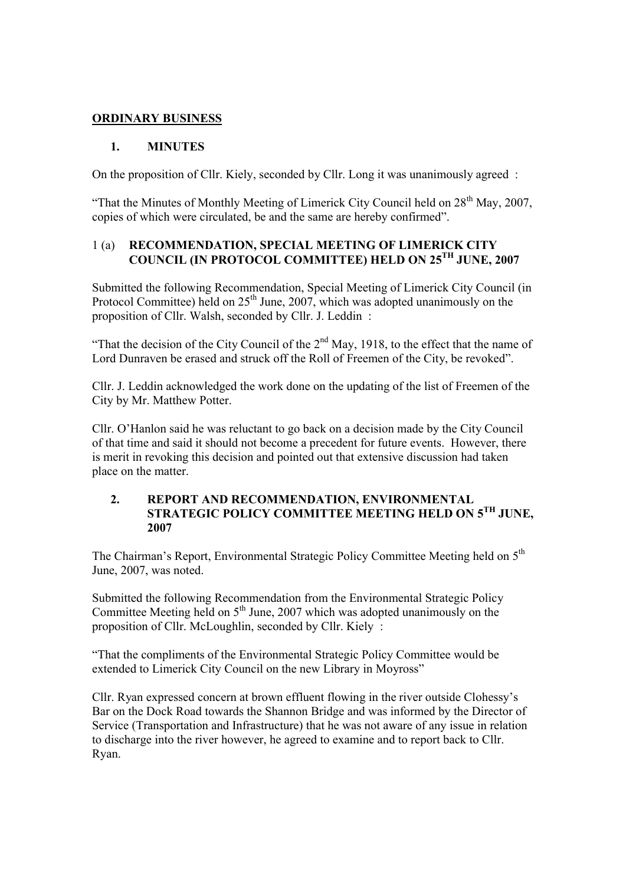### **ORDINARY BUSINESS**

### **1. MINUTES**

On the proposition of Cllr. Kiely, seconded by Cllr. Long it was unanimously agreed :

"That the Minutes of Monthly Meeting of Limerick City Council held on  $28<sup>th</sup>$  May, 2007, copies of which were circulated, be and the same are hereby confirmed".

### 1 (a) **RECOMMENDATION, SPECIAL MEETING OF LIMERICK CITY COUNCIL (IN PROTOCOL COMMITTEE) HELD ON 25TH JUNE, 2007**

Submitted the following Recommendation, Special Meeting of Limerick City Council (in Protocol Committee) held on  $25<sup>th</sup>$  June, 2007, which was adopted unanimously on the proposition of Cllr. Walsh, seconded by Cllr. J. Leddin :

"That the decision of the City Council of the  $2<sup>nd</sup>$  May, 1918, to the effect that the name of Lord Dunraven be erased and struck off the Roll of Freemen of the City, be revoked".

Cllr. J. Leddin acknowledged the work done on the updating of the list of Freemen of the City by Mr. Matthew Potter.

Cllr. O'Hanlon said he was reluctant to go back on a decision made by the City Council of that time and said it should not become a precedent for future events. However, there is merit in revoking this decision and pointed out that extensive discussion had taken place on the matter.

#### **2. REPORT AND RECOMMENDATION, ENVIRONMENTAL STRATEGIC POLICY COMMITTEE MEETING HELD ON 5TH JUNE, 2007**

The Chairman's Report, Environmental Strategic Policy Committee Meeting held on 5<sup>th</sup> June, 2007, was noted.

Submitted the following Recommendation from the Environmental Strategic Policy Committee Meeting held on  $5<sup>th</sup>$  June, 2007 which was adopted unanimously on the proposition of Cllr. McLoughlin, seconded by Cllr. Kiely :

"That the compliments of the Environmental Strategic Policy Committee would be extended to Limerick City Council on the new Library in Moyross"

Cllr. Ryan expressed concern at brown effluent flowing in the river outside Clohessy's Bar on the Dock Road towards the Shannon Bridge and was informed by the Director of Service (Transportation and Infrastructure) that he was not aware of any issue in relation to discharge into the river however, he agreed to examine and to report back to Cllr. Ryan.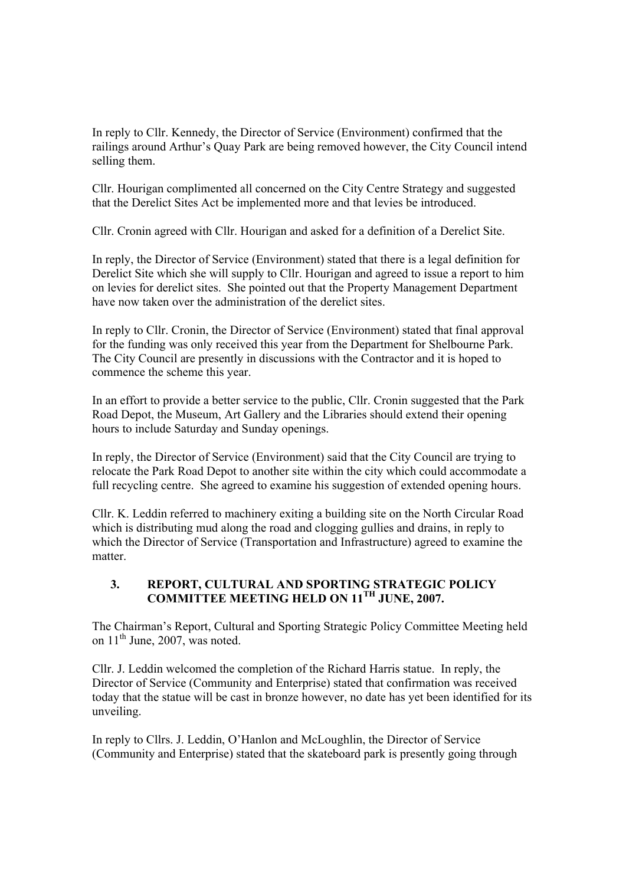In reply to Cllr. Kennedy, the Director of Service (Environment) confirmed that the railings around Arthur's Quay Park are being removed however, the City Council intend selling them.

Cllr. Hourigan complimented all concerned on the City Centre Strategy and suggested that the Derelict Sites Act be implemented more and that levies be introduced.

Cllr. Cronin agreed with Cllr. Hourigan and asked for a definition of a Derelict Site.

In reply, the Director of Service (Environment) stated that there is a legal definition for Derelict Site which she will supply to Cllr. Hourigan and agreed to issue a report to him on levies for derelict sites. She pointed out that the Property Management Department have now taken over the administration of the derelict sites.

In reply to Cllr. Cronin, the Director of Service (Environment) stated that final approval for the funding was only received this year from the Department for Shelbourne Park. The City Council are presently in discussions with the Contractor and it is hoped to commence the scheme this year.

In an effort to provide a better service to the public, Cllr. Cronin suggested that the Park Road Depot, the Museum, Art Gallery and the Libraries should extend their opening hours to include Saturday and Sunday openings.

In reply, the Director of Service (Environment) said that the City Council are trying to relocate the Park Road Depot to another site within the city which could accommodate a full recycling centre. She agreed to examine his suggestion of extended opening hours.

Cllr. K. Leddin referred to machinery exiting a building site on the North Circular Road which is distributing mud along the road and clogging gullies and drains, in reply to which the Director of Service (Transportation and Infrastructure) agreed to examine the matter.

### **3. REPORT, CULTURAL AND SPORTING STRATEGIC POLICY COMMITTEE MEETING HELD ON 11TH JUNE, 2007.**

The Chairman's Report, Cultural and Sporting Strategic Policy Committee Meeting held on  $11<sup>th</sup>$  June, 2007, was noted.

Cllr. J. Leddin welcomed the completion of the Richard Harris statue. In reply, the Director of Service (Community and Enterprise) stated that confirmation was received today that the statue will be cast in bronze however, no date has yet been identified for its unveiling.

In reply to Cllrs. J. Leddin, O'Hanlon and McLoughlin, the Director of Service (Community and Enterprise) stated that the skateboard park is presently going through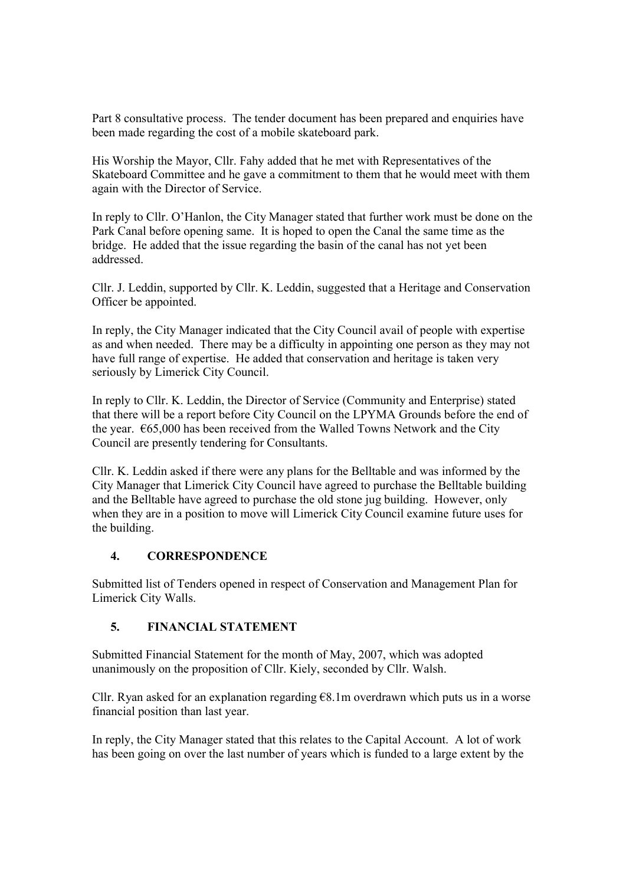Part 8 consultative process. The tender document has been prepared and enquiries have been made regarding the cost of a mobile skateboard park.

His Worship the Mayor, Cllr. Fahy added that he met with Representatives of the Skateboard Committee and he gave a commitment to them that he would meet with them again with the Director of Service.

In reply to Cllr. O'Hanlon, the City Manager stated that further work must be done on the Park Canal before opening same. It is hoped to open the Canal the same time as the bridge. He added that the issue regarding the basin of the canal has not yet been addressed.

Cllr. J. Leddin, supported by Cllr. K. Leddin, suggested that a Heritage and Conservation Officer be appointed.

In reply, the City Manager indicated that the City Council avail of people with expertise as and when needed. There may be a difficulty in appointing one person as they may not have full range of expertise. He added that conservation and heritage is taken very seriously by Limerick City Council.

In reply to Cllr. K. Leddin, the Director of Service (Community and Enterprise) stated that there will be a report before City Council on the LPYMA Grounds before the end of the year.  $665,000$  has been received from the Walled Towns Network and the City Council are presently tendering for Consultants.

Cllr. K. Leddin asked if there were any plans for the Belltable and was informed by the City Manager that Limerick City Council have agreed to purchase the Belltable building and the Belltable have agreed to purchase the old stone jug building. However, only when they are in a position to move will Limerick City Council examine future uses for the building.

#### **4. CORRESPONDENCE**

Submitted list of Tenders opened in respect of Conservation and Management Plan for Limerick City Walls.

# **5. FINANCIAL STATEMENT**

Submitted Financial Statement for the month of May, 2007, which was adopted unanimously on the proposition of Cllr. Kiely, seconded by Cllr. Walsh.

Cllr. Ryan asked for an explanation regarding  $68.1$ m overdrawn which puts us in a worse financial position than last year.

In reply, the City Manager stated that this relates to the Capital Account. A lot of work has been going on over the last number of years which is funded to a large extent by the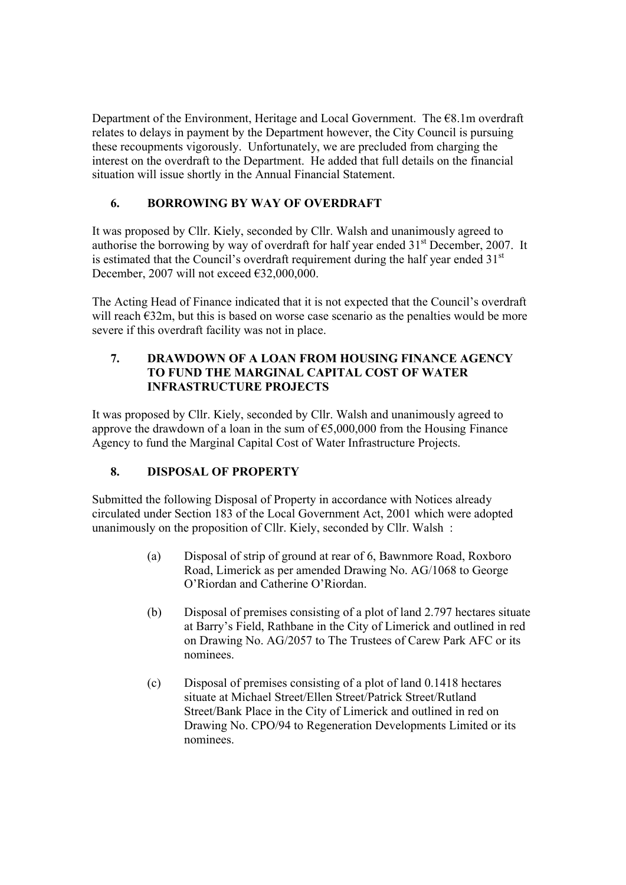Department of the Environment, Heritage and Local Government. The  $\epsilon$ 8.1m overdraft relates to delays in payment by the Department however, the City Council is pursuing these recoupments vigorously. Unfortunately, we are precluded from charging the interest on the overdraft to the Department. He added that full details on the financial situation will issue shortly in the Annual Financial Statement.

# **6. BORROWING BY WAY OF OVERDRAFT**

It was proposed by Cllr. Kiely, seconded by Cllr. Walsh and unanimously agreed to authorise the borrowing by way of overdraft for half year ended  $31<sup>st</sup>$  December, 2007. It is estimated that the Council's overdraft requirement during the half year ended  $31<sup>st</sup>$ December, 2007 will not exceed  $\epsilon$ 32,000,000.

The Acting Head of Finance indicated that it is not expected that the Council's overdraft will reach  $E32m$ , but this is based on worse case scenario as the penalties would be more severe if this overdraft facility was not in place.

# **7. DRAWDOWN OF A LOAN FROM HOUSING FINANCE AGENCY TO FUND THE MARGINAL CAPITAL COST OF WATER INFRASTRUCTURE PROJECTS**

It was proposed by Cllr. Kiely, seconded by Cllr. Walsh and unanimously agreed to approve the drawdown of a loan in the sum of  $65,000,000$  from the Housing Finance Agency to fund the Marginal Capital Cost of Water Infrastructure Projects.

# **8. DISPOSAL OF PROPERTY**

Submitted the following Disposal of Property in accordance with Notices already circulated under Section 183 of the Local Government Act, 2001 which were adopted unanimously on the proposition of Cllr. Kiely, seconded by Cllr. Walsh :

- (a) Disposal of strip of ground at rear of 6, Bawnmore Road, Roxboro Road, Limerick as per amended Drawing No. AG/1068 to George O'Riordan and Catherine O'Riordan.
- (b) Disposal of premises consisting of a plot of land 2.797 hectares situate at Barry's Field, Rathbane in the City of Limerick and outlined in red on Drawing No. AG/2057 to The Trustees of Carew Park AFC or its nominees.
- (c) Disposal of premises consisting of a plot of land 0.1418 hectares situate at Michael Street/Ellen Street/Patrick Street/Rutland Street/Bank Place in the City of Limerick and outlined in red on Drawing No. CPO/94 to Regeneration Developments Limited or its nominees.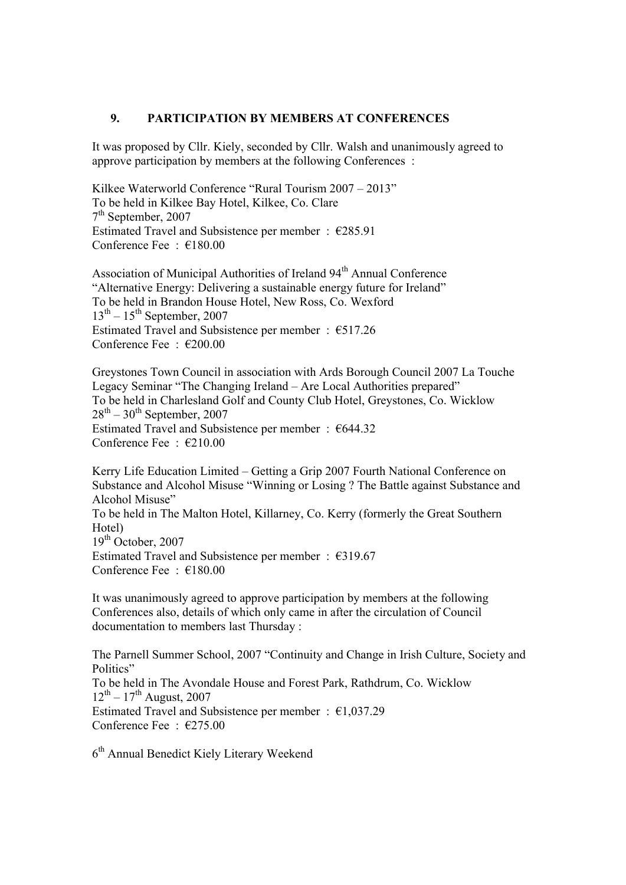#### **9. PARTICIPATION BY MEMBERS AT CONFERENCES**

It was proposed by Cllr. Kiely, seconded by Cllr. Walsh and unanimously agreed to approve participation by members at the following Conferences :

Kilkee Waterworld Conference "Rural Tourism 2007 – 2013" To be held in Kilkee Bay Hotel, Kilkee, Co. Clare  $7<sup>th</sup>$  September, 2007 Estimated Travel and Subsistence per member :  $\epsilon$ 285.91 Conference Fee : €180.00

Association of Municipal Authorities of Ireland 94<sup>th</sup> Annual Conference "Alternative Energy: Delivering a sustainable energy future for Ireland" To be held in Brandon House Hotel, New Ross, Co. Wexford  $13<sup>th</sup> - 15<sup>th</sup>$  September, 2007 Estimated Travel and Subsistence per member :  $€517.26$ Conference Fee : €200.00

Greystones Town Council in association with Ards Borough Council 2007 La Touche Legacy Seminar "The Changing Ireland – Are Local Authorities prepared" To be held in Charlesland Golf and County Club Hotel, Greystones, Co. Wicklow  $28<sup>th</sup> - 30<sup>th</sup>$  September, 2007 Estimated Travel and Subsistence per member :  $644.32$ Conference Fee : €210.00

Kerry Life Education Limited – Getting a Grip 2007 Fourth National Conference on Substance and Alcohol Misuse "Winning or Losing ? The Battle against Substance and Alcohol Misuse" To be held in The Malton Hotel, Killarney, Co. Kerry (formerly the Great Southern Hotel)  $19<sup>th</sup>$  October, 2007 Estimated Travel and Subsistence per member : €319.67 Conference Fee : €180.00

It was unanimously agreed to approve participation by members at the following Conferences also, details of which only came in after the circulation of Council documentation to members last Thursday :

The Parnell Summer School, 2007 "Continuity and Change in Irish Culture, Society and Politics" To be held in The Avondale House and Forest Park, Rathdrum, Co. Wicklow  $12^{th} - 17^{th}$  August, 2007 Estimated Travel and Subsistence per member :  $\epsilon$ 1,037.29 Conference Fee : €275.00

6<sup>th</sup> Annual Benedict Kiely Literary Weekend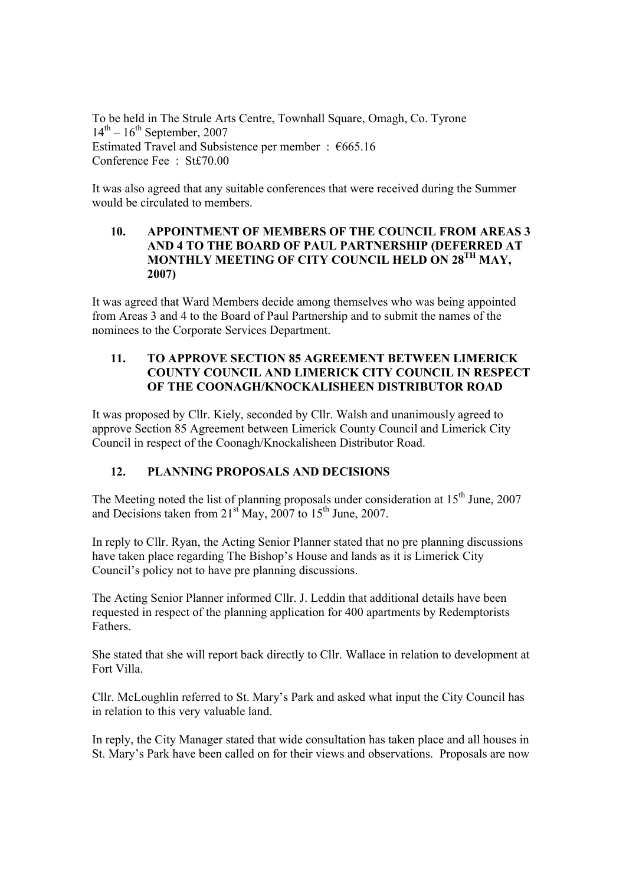To be held in The Strule Arts Centre, Townhall Square, Omagh, Co. Tyrone  $14<sup>th</sup> - 16<sup>th</sup>$  September, 2007 Estimated Travel and Subsistence per member :  $€665.16$ Conference Fee : St£70.00

It was also agreed that any suitable conferences that were received during the Summer would be circulated to members.

#### **10. APPOINTMENT OF MEMBERS OF THE COUNCIL FROM AREAS 3 AND 4 TO THE BOARD OF PAUL PARTNERSHIP (DEFERRED AT MONTHLY MEETING OF CITY COUNCIL HELD ON 28TH MAY, 2007)**

It was agreed that Ward Members decide among themselves who was being appointed from Areas 3 and 4 to the Board of Paul Partnership and to submit the names of the nominees to the Corporate Services Department.

### **11. TO APPROVE SECTION 85 AGREEMENT BETWEEN LIMERICK COUNTY COUNCIL AND LIMERICK CITY COUNCIL IN RESPECT OF THE COONAGH/KNOCKALISHEEN DISTRIBUTOR ROAD**

It was proposed by Cllr. Kiely, seconded by Cllr. Walsh and unanimously agreed to approve Section 85 Agreement between Limerick County Council and Limerick City Council in respect of the Coonagh/Knockalisheen Distributor Road.

# **12. PLANNING PROPOSALS AND DECISIONS**

The Meeting noted the list of planning proposals under consideration at  $15<sup>th</sup>$  June, 2007 and Decisions taken from  $21<sup>st</sup>$  May,  $2007$  to  $15<sup>th</sup>$  June, 2007.

In reply to Cllr. Ryan, the Acting Senior Planner stated that no pre planning discussions have taken place regarding The Bishop's House and lands as it is Limerick City Council's policy not to have pre planning discussions.

The Acting Senior Planner informed Cllr. J. Leddin that additional details have been requested in respect of the planning application for 400 apartments by Redemptorists Fathers.

She stated that she will report back directly to Cllr. Wallace in relation to development at Fort Villa.

Cllr. McLoughlin referred to St. Mary's Park and asked what input the City Council has in relation to this very valuable land.

In reply, the City Manager stated that wide consultation has taken place and all houses in St. Mary's Park have been called on for their views and observations. Proposals are now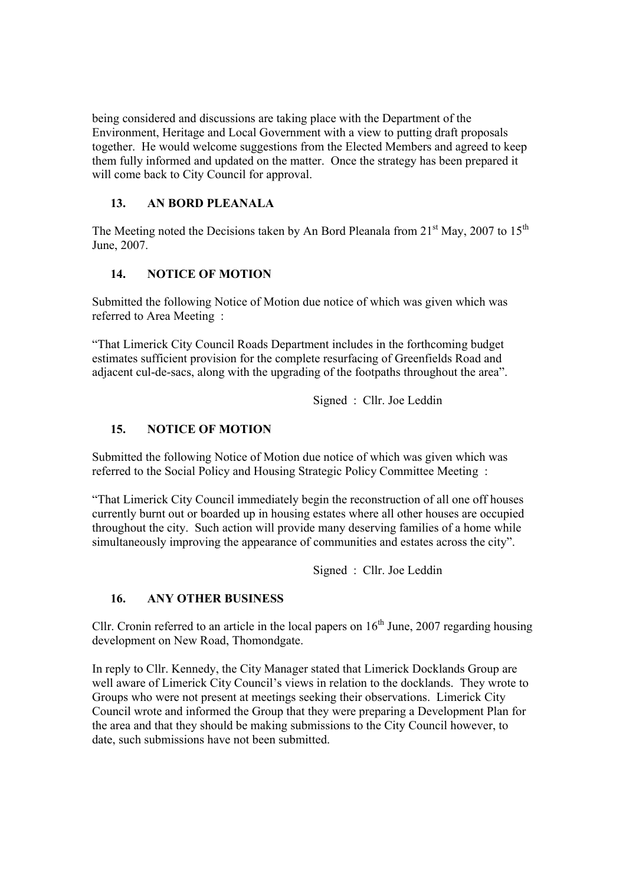being considered and discussions are taking place with the Department of the Environment, Heritage and Local Government with a view to putting draft proposals together. He would welcome suggestions from the Elected Members and agreed to keep them fully informed and updated on the matter. Once the strategy has been prepared it will come back to City Council for approval.

# **13. AN BORD PLEANALA**

The Meeting noted the Decisions taken by An Bord Pleanala from  $21<sup>st</sup>$  May, 2007 to  $15<sup>th</sup>$ June, 2007.

# **14. NOTICE OF MOTION**

Submitted the following Notice of Motion due notice of which was given which was referred to Area Meeting :

"That Limerick City Council Roads Department includes in the forthcoming budget estimates sufficient provision for the complete resurfacing of Greenfields Road and adjacent cul-de-sacs, along with the upgrading of the footpaths throughout the area".

Signed : Cllr. Joe Leddin

# **15. NOTICE OF MOTION**

Submitted the following Notice of Motion due notice of which was given which was referred to the Social Policy and Housing Strategic Policy Committee Meeting :

"That Limerick City Council immediately begin the reconstruction of all one off houses currently burnt out or boarded up in housing estates where all other houses are occupied throughout the city. Such action will provide many deserving families of a home while simultaneously improving the appearance of communities and estates across the city".

Signed : Cllr. Joe Leddin

# **16. ANY OTHER BUSINESS**

Cllr. Cronin referred to an article in the local papers on  $16<sup>th</sup>$  June, 2007 regarding housing development on New Road, Thomondgate.

In reply to Cllr. Kennedy, the City Manager stated that Limerick Docklands Group are well aware of Limerick City Council's views in relation to the docklands. They wrote to Groups who were not present at meetings seeking their observations. Limerick City Council wrote and informed the Group that they were preparing a Development Plan for the area and that they should be making submissions to the City Council however, to date, such submissions have not been submitted.